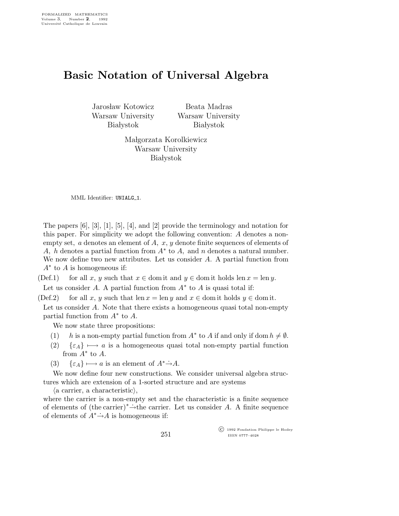## Basic Notation of Universal Algebra

Jarosław Kotowicz Warsaw University **Białystok** 

Beata Madras Warsaw University **Białystok** 

Małgorzata Korolkiewicz Warsaw University **Białystok** 

MML Identifier: UNIALG\_1.

The papers [6], [3], [1], [5], [4], and [2] provide the terminology and notation for this paper. For simplicity we adopt the following convention: A denotes a nonempty set,  $a$  denotes an element of  $A$ ,  $x$ ,  $y$  denote finite sequences of elements of A, h denotes a partial function from  $A^*$  to A, and n denotes a natural number. We now define two new attributes. Let us consider A. A partial function from  $A^*$  to A is homogeneous if:

(Def.1) for all x, y such that  $x \in$  dom it and  $y \in$  dom it holds len  $x = \text{len } y$ . Let us consider A. A partial function from  $A^*$  to A is quasi total if:

(Def.2) for all x, y such that len  $x = \text{len } y$  and  $x \in \text{dom } x$  tholds  $y \in \text{dom } x$ .

Let us consider A. Note that there exists a homogeneous quasi total non-empty partial function from  $A^*$  to  $\overline{A}$ .

We now state three propositions:

- (1) h is a non-empty partial function from  $A^*$  to A if and only if dom  $h \neq \emptyset$ .
- (2)  $\{\varepsilon_A\} \mapsto a$  is a homogeneous quasi total non-empty partial function from  $A^*$  to  $A$ .
- (3)  $\{\varepsilon_A\} \longmapsto a$  is an element of  $A^* \rightarrow A$ .

We now define four new constructions. We consider universal algebra structures which are extension of a 1-sorted structure and are systems

 $\langle a \text{ carrier}, a \text{ characteristic} \rangle$ ,

where the carrier is a non-empty set and the characteristic is a finite sequence of elements of (the carrier)<sup>∗</sup>→the carrier. Let us consider A. A finite sequence of elements of  $A^* \rightarrow A$  is homogeneous if:

> c 1992 Fondation Philippe le Hodey ISSN 0777–4028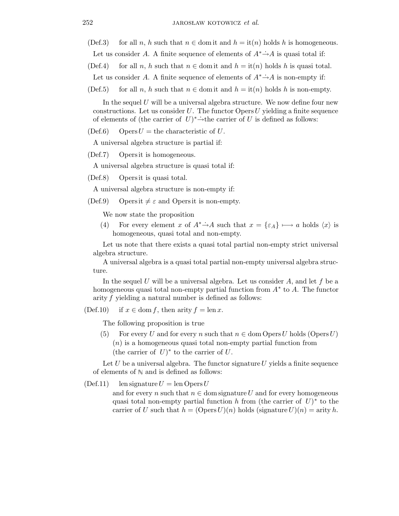- (Def.3) for all n, h such that  $n \in$  dom it and  $h =$  it(n) holds h is homogeneous.
	- Let us consider A. A finite sequence of elements of  $A^* \rightarrow A$  is quasi total if:
- (Def.4) for all n, h such that  $n \in \text{dom}$  it and  $h = \text{it}(n)$  holds h is quasi total.
- Let us consider A. A finite sequence of elements of  $A^* \rightarrow A$  is non-empty if:
- (Def.5) for all n, h such that  $n \in \text{dom}$  it and  $h = \text{it}(n)$  holds h is non-empty.

In the sequel  $U$  will be a universal algebra structure. We now define four new constructions. Let us consider  $U$ . The functor Opers  $U$  yielding a finite sequence of elements of (the carrier of  $U^* \rightarrow$ the carrier of U is defined as follows:

(Def.6) Opers  $U =$  the characteristic of U.

A universal algebra structure is partial if:

(Def.7) Opers it is homogeneous.

A universal algebra structure is quasi total if:

(Def.8) Opers it is quasi total.

A universal algebra structure is non-empty if:

(Def.9) Opers it  $\neq \varepsilon$  and Opers it is non-empty.

We now state the proposition

(4) For every element x of  $A^* \rightarrow A$  such that  $x = {\epsilon_A} \rightarrow a$  holds  $\langle x \rangle$  is homogeneous, quasi total and non-empty.

Let us note that there exists a quasi total partial non-empty strict universal algebra structure.

A universal algebra is a quasi total partial non-empty universal algebra structure.

In the sequel U will be a universal algebra. Let us consider  $A$ , and let f be a homogeneous quasi total non-empty partial function from  $A^*$  to A. The functor arity f yielding a natural number is defined as follows:

(Def.10) if  $x \in \text{dom } f$ , then arity  $f = \text{len } x$ .

The following proposition is true

(5) For every U and for every n such that  $n \in \text{dom Oper } U$  holds  $(\text{Oper } U)$  $(n)$  is a homogeneous quasi total non-empty partial function from (the carrier of  $U$ )<sup>\*</sup> to the carrier of  $U$ .

Let  $U$  be a universal algebra. The functor signature  $U$  yields a finite sequence of elements of  $\mathbb N$  and is defined as follows:

(Def.11) len signature  $U = \text{len Opers } U$ and for every n such that  $n \in \text{dom signature } U$  and for every homogeneous quasi total non-empty partial function h from (the carrier of  $U$ )<sup>\*</sup> to the carrier of U such that  $h = (\text{Opera } U)(n)$  holds (signature  $U)(n) = \text{arity } h$ .